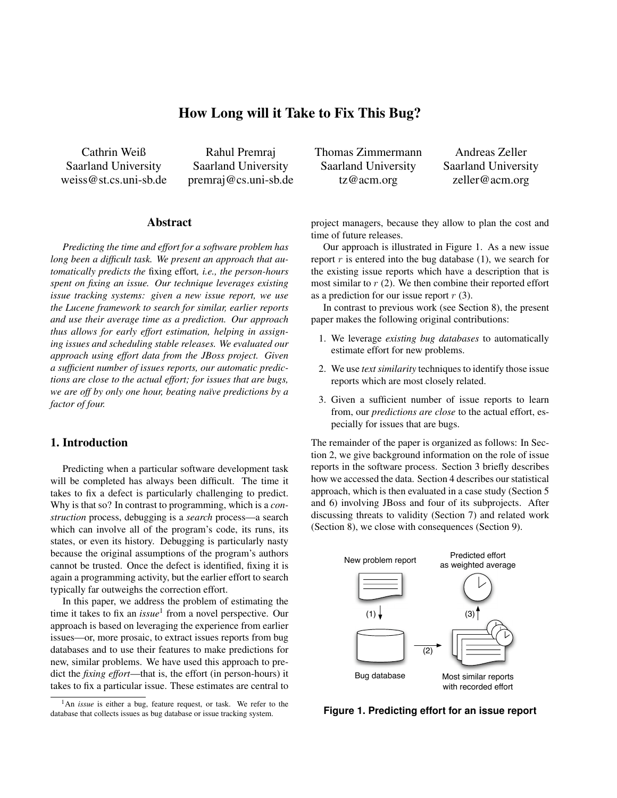# *How Long will it Take to Fix This Bug?*

*Cathrin Weiß Saarland University weiss@st.cs.uni-sb.de*

*Rahul Premraj Saarland University premraj@cs.uni-sb.de*

### *Abstract*

*Predicting the time and effort for a software problem has long been a difficult task. We present an approach that automatically predicts the fixing effort, i.e., the person-hours spent on fixing an issue. Our technique leverages existing issue tracking systems: given a new issue report, we use the Lucene framework to search for similar, earlier reports and use their average time as a prediction. Our approach thus allows for early effort estimation, helping in assigning issues and scheduling stable releases. We evaluated our approach using effort data from the JBoss project. Given a sufficient number of issues reports, our automatic predictions are close to the actual effort; for issues that are bugs, we are off by only one hour, beating na¨ıve predictions by a factor of four.*

# *1. Introduction*

*Predicting when a particular software development task will be completed has always been difficult. The time it takes to fix a defect is particularly challenging to predict. Why is that so? In contrast to programming, which is a construction process, debugging is a search process—a search which can involve all of the program's code, its runs, its states, or even its history. Debugging is particularly nasty because the original assumptions of the program's authors cannot be trusted. Once the defect is identified, fixing it is again a programming activity, but the earlier effort to search typically far outweighs the correction effort.*

*In this paper, we address the problem of estimating the time it takes to fix an issue<sup>1</sup> from a novel perspective. Our approach is based on leveraging the experience from earlier issues—or, more prosaic, to extract issues reports from bug databases and to use their features to make predictions for new, similar problems. We have used this approach to predict the fixing effort—that is, the effort (in person-hours) it takes to fix a particular issue. These estimates are central to*

*Thomas Zimmermann Saarland University tz@acm.org*

*Andreas Zeller Saarland University zeller@acm.org*

*project managers, because they allow to plan the cost and time of future releases.*

*Our approach is illustrated in Figure 1. As a new issue report r is entered into the bug database (1), we search for the existing issue reports which have a description that is most similar to r (2). We then combine their reported effort as a prediction for our issue report r (3).*

*In contrast to previous work (see Section 8), the present paper makes the following original contributions:*

- *1. We leverage existing bug databases to automatically estimate effort for new problems.*
- *2. We use text similarity techniques to identify those issue reports which are most closely related.*
- *3. Given a sufficient number of issue reports to learn from, our predictions are close to the actual effort, especially for issues that are bugs.*

*The remainder of the paper is organized as follows: In Section 2, we give background information on the role of issue reports in the software process. Section 3 briefly describes how we accessed the data. Section 4 describes our statistical approach, which is then evaluated in a case study (Section 5 and 6) involving JBoss and four of its subprojects. After discussing threats to validity (Section 7) and related work (Section 8), we close with consequences (Section 9).*



**Figure 1. Predicting effort for an issue report**

*<sup>1</sup>An issue is either a bug, feature request, or task. We refer to the database that collects issues as bug database or issue tracking system.*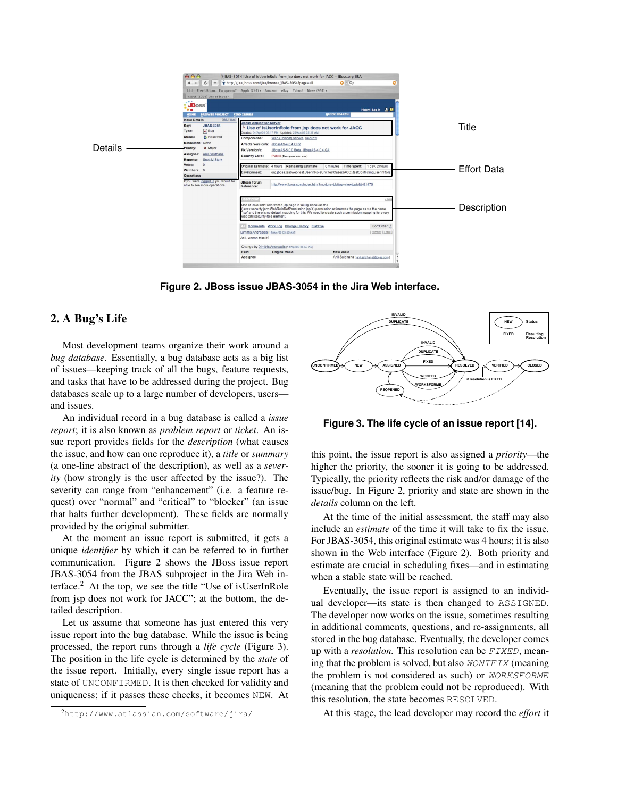

**Figure 2. JBoss issue JBAS-3054 in the Jira Web interface.**

# 2. A Bug's Life

*Most development teams organize their work around a bug database. Essentially, a bug database acts as a big list of issues—keeping track of all the bugs, feature requests, and tasks that have to be addressed during the project. Bug databases scale up to a large number of developers, users and issues.*

*An individual record in a bug database is called a issue report; it is also known as problem report or ticket. An issue report provides fields for the description (what causes the issue, and how can one reproduce it), a title or summary (a one-line abstract of the description), as well as a severity (how strongly is the user affected by the issue?). The severity can range from "enhancement" (i.e. a feature request) over "normal" and "critical" to "blocker" (an issue that halts further development). These fields are normally provided by the original submitter.*

*At the moment an issue report is submitted, it gets a unique identifier by which it can be referred to in further communication. Figure 2 shows the JBoss issue report JBAS-3054 from the JBAS subproject in the Jira Web interface.2 At the top, we see the title "Use of isUserInRole from jsp does not work for JACC"; at the bottom, the detailed description.*

*Let us assume that someone has just entered this very issue report into the bug database. While the issue is being processed, the report runs through a life cycle (Figure 3). The position in the life cycle is determined by the state of the issue report. Initially, every single issue report has a state of* UNCONFIRMED*. It is then checked for validity and uniqueness; if it passes these checks, it becomes* NEW*. At*



**Figure 3. The life cycle of an issue report [14].**

*this point, the issue report is also assigned a priority—the higher the priority, the sooner it is going to be addressed. Typically, the priority reflects the risk and/or damage of the issue/bug. In Figure 2, priority and state are shown in the details column on the left.*

*At the time of the initial assessment, the staff may also include an estimate of the time it will take to fix the issue. For JBAS-3054, this original estimate was 4 hours; it is also shown in the Web interface (Figure 2). Both priority and estimate are crucial in scheduling fixes—and in estimating when a stable state will be reached.*

*Eventually, the issue report is assigned to an individual developer—its state is then changed to* ASSIGNED*. The developer now works on the issue, sometimes resulting in additional comments, questions, and re-assignments, all stored in the bug database. Eventually, the developer comes up with a resolution. This resolution can be FIXED, meaning that the problem is solved, but also WONTFIX (meaning the problem is not considered as such) or WORKSFORME (meaning that the problem could not be reproduced). With this resolution, the state becomes* RESOLVED*.*

*At this stage, the lead developer may record the effort it*

*<sup>2</sup>*http://www.atlassian.com/software/jira/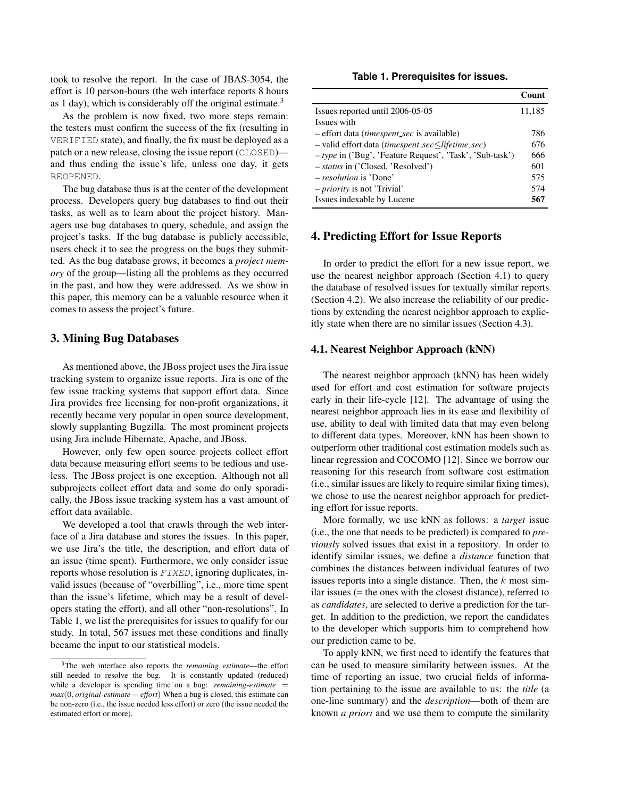*took to resolve the report. In the case of JBAS-3054, the effort is 10 person-hours (the web interface reports 8 hours as 1 day), which is considerably off the original estimate.3*

*As the problem is now fixed, two more steps remain: the testers must confirm the success of the fix (resulting in* VERIFIED *state), and finally, the fix must be deployed as a patch or a new release, closing the issue report (*CLOSED*) and thus ending the issue's life, unless one day, it gets* REOPENED*.*

*The bug database thus is at the center of the development process. Developers query bug databases to find out their tasks, as well as to learn about the project history. Managers use bug databases to query, schedule, and assign the project's tasks. If the bug database is publicly accessible, users check it to see the progress on the bugs they submitted. As the bug database grows, it becomes a project memory of the group—listing all the problems as they occurred in the past, and how they were addressed. As we show in this paper, this memory can be a valuable resource when it comes to assess the project's future.*

### 3. Mining Bug Databases

*As mentioned above, the JBoss project uses the Jira issue tracking system to organize issue reports. Jira is one of the few issue tracking systems that support effort data. Since Jira provides free licensing for non-profit organizations, it recently became very popular in open source development, slowly supplanting Bugzilla. The most prominent projects using Jira include Hibernate, Apache, and JBoss.*

*However, only few open source projects collect effort data because measuring effort seems to be tedious and useless. The JBoss project is one exception. Although not all subprojects collect effort data and some do only sporadically, the JBoss issue tracking system has a vast amount of effort data available.*

*We developed a tool that crawls through the web interface of a Jira database and stores the issues. In this paper, we use Jira's the title, the description, and effort data of an issue (time spent). Furthermore, we only consider issue reports whose resolution is FIXED, ignoring duplicates, invalid issues (because of "overbilling", i.e., more time spent than the issue's lifetime, which may be a result of developers stating the effort), and all other "non-resolutions". In Table 1, we list the prerequisites for issues to qualify for our study. In total, 567 issues met these conditions and finally became the input to our statistical models.*

#### **Table 1. Prerequisites for issues.**

|                                                            | Count  |
|------------------------------------------------------------|--------|
| Issues reported until 2006-05-05                           | 11,185 |
| Issues with                                                |        |
| - effort data (timespent_sec is available)                 | 786    |
| - valid effort data (timespent_sec≤lifetime_sec)           | 676    |
| $-$ type in ('Bug', 'Feature Request', 'Task', 'Sub-task') | 666    |
| - <i>status</i> in ('Closed, 'Resolved')                   | 601    |
| <i>– resolution</i> is 'Done'                              | 575    |
| - <i>priority</i> is not 'Trivial'                         | 574    |
| Issues indexable by Lucene                                 | 567    |

### 4. Predicting Effort for Issue Reports

*In order to predict the effort for a new issue report, we use the nearest neighbor approach (Section 4.1) to query the database of resolved issues for textually similar reports (Section 4.2). We also increase the reliability of our predictions by extending the nearest neighbor approach to explicitly state when there are no similar issues (Section 4.3).*

### 4.1. Nearest Neighbor Approach (kNN)

*The nearest neighbor approach (kNN) has been widely used for effort and cost estimation for software projects early in their life-cycle [12]. The advantage of using the nearest neighbor approach lies in its ease and flexibility of use, ability to deal with limited data that may even belong to different data types. Moreover, kNN has been shown to outperform other traditional cost estimation models such as linear regression and COCOMO [12]. Since we borrow our reasoning for this research from software cost estimation (i.e., similar issues are likely to require similar fixing times), we chose to use the nearest neighbor approach for predicting effort for issue reports.*

*More formally, we use kNN as follows: a target issue (i.e., the one that needs to be predicted) is compared to previously solved issues that exist in a repository. In order to identify similar issues, we define a distance function that combines the distances between individual features of two* issues reports into a single distance. Then, the *k* most sim*ilar issues (= the ones with the closest distance), referred to as candidates, are selected to derive a prediction for the target. In addition to the prediction, we report the candidates to the developer which supports him to comprehend how our prediction came to be.*

*To apply kNN, we first need to identify the features that can be used to measure similarity between issues. At the time of reporting an issue, two crucial fields of information pertaining to the issue are available to us: the title (a one-line summary) and the description—both of them are known a priori and we use them to compute the similarity*

*<sup>3</sup>The web interface also reports the remaining estimate—the effort still needed to resolve the bug. It is constantly updated (reduced)* while a developer is spending time on a bug: *remaining-estimate* = *max*(0*, original-estimate − effort*) *When a bug is closed, this estimate can be non-zero (i.e., the issue needed less effort) or zero (the issue needed the estimated effort or more).*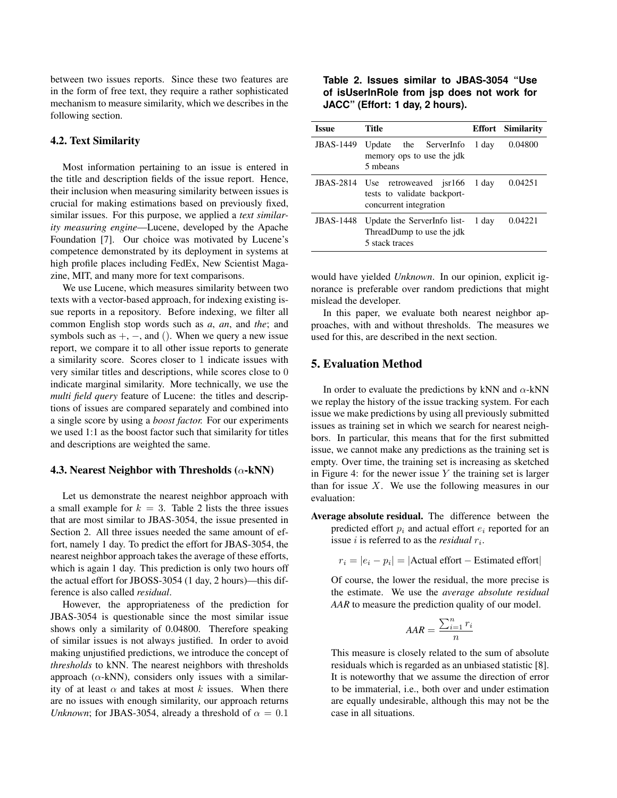*between two issues reports. Since these two features are in the form of free text, they require a rather sophisticated mechanism to measure similarity, which we describes in the following section.*

#### *4.2. Text Similarity*

*Most information pertaining to an issue is entered in the title and description fields of the issue report. Hence, their inclusion when measuring similarity between issues is crucial for making estimations based on previously fixed, similar issues. For this purpose, we applied a text similarity measuring engine—Lucene, developed by the Apache Foundation [7]. Our choice was motivated by Lucene's competence demonstrated by its deployment in systems at high profile places including FedEx, New Scientist Magazine, MIT, and many more for text comparisons.*

*We use Lucene, which measures similarity between two texts with a vector-based approach, for indexing existing issue reports in a repository. Before indexing, we filter all common English stop words such as a, an, and the; and symbols such as* +*, −, and* ()*. When we query a new issue report, we compare it to all other issue reports to generate a similarity score. Scores closer to* 1 *indicate issues with very similar titles and descriptions, while scores close to* 0 *indicate marginal similarity. More technically, we use the multi field query feature of Lucene: the titles and descriptions of issues are compared separately and combined into a single score by using a boost factor. For our experiments we used 1:1 as the boost factor such that similarity for titles and descriptions are weighted the same.*

#### *4.3. Nearest Neighbor with Thresholds (*α*-kNN)*

*Let us demonstrate the nearest neighbor approach with a small example for k* = 3*. Table 2 lists the three issues that are most similar to JBAS-3054, the issue presented in Section 2. All three issues needed the same amount of effort, namely 1 day. To predict the effort for JBAS-3054, the nearest neighbor approach takes the average of these efforts, which is again 1 day. This prediction is only two hours off the actual effort for JBOSS-3054 (1 day, 2 hours)—this difference is also called residual.*

*However, the appropriateness of the prediction for JBAS-3054 is questionable since the most similar issue shows only a similarity of 0.04800. Therefore speaking of similar issues is not always justified. In order to avoid making unjustified predictions, we introduce the concept of thresholds to kNN. The nearest neighbors with thresholds approach (*α*-kNN), considers only issues with a similarity of at least*  $\alpha$  *and takes at most*  $k$  *issues. When there are no issues with enough similarity, our approach returns Unknown*; for JBAS-3054, already a threshold of  $\alpha = 0.1$ 

**Table 2. Issues similar to JBAS-3054 "Use of isUserInRole from jsp does not work for JACC" (Effort: 1 day, 2 hours).**

| Issue            | <b>Title</b>                                                                              |       | <b>Effort</b> Similarity |
|------------------|-------------------------------------------------------------------------------------------|-------|--------------------------|
| <b>JBAS-1449</b> | Update the ServerInfo<br>memory ops to use the jdk<br>5 mbeans                            | 1 day | 0.04800                  |
|                  | JBAS-2814 Use retroweaved jsr166<br>tests to validate backport-<br>concurrent integration | 1 day | 0.04251                  |
| <b>JBAS-1448</b> | Update the ServerInfo list-<br>ThreadDump to use the jdk<br>5 stack traces                | 1 day | 0.04221                  |

*would have yielded Unknown. In our opinion, explicit ignorance is preferable over random predictions that might mislead the developer.*

*In this paper, we evaluate both nearest neighbor approaches, with and without thresholds. The measures we used for this, are described in the next section.*

### *5. Evaluation Method*

*In order to evaluate the predictions by kNN and* α*-kNN we replay the history of the issue tracking system. For each issue we make predictions by using all previously submitted issues as training set in which we search for nearest neighbors. In particular, this means that for the first submitted issue, we cannot make any predictions as the training set is empty. Over time, the training set is increasing as sketched in Figure 4: for the newer issue Y the training set is larger than for issue X. We use the following measures in our evaluation:*

*Average absolute residual. The difference between the* predicted effort  $p_i$  and actual effort  $e_i$  reported for an *issue i is referred to as the residual ri.*

 $r_i = |e_i - p_i| = |\text{Actual effort} - \text{Estimated effort}|$ 

*Of course, the lower the residual, the more precise is the estimate. We use the average absolute residual AAR to measure the prediction quality of our model.*

$$
AAR = \frac{\sum_{i=1}^{n} r_i}{n}
$$

*This measure is closely related to the sum of absolute residuals which is regarded as an unbiased statistic [8]. It is noteworthy that we assume the direction of error to be immaterial, i.e., both over and under estimation are equally undesirable, although this may not be the case in all situations.*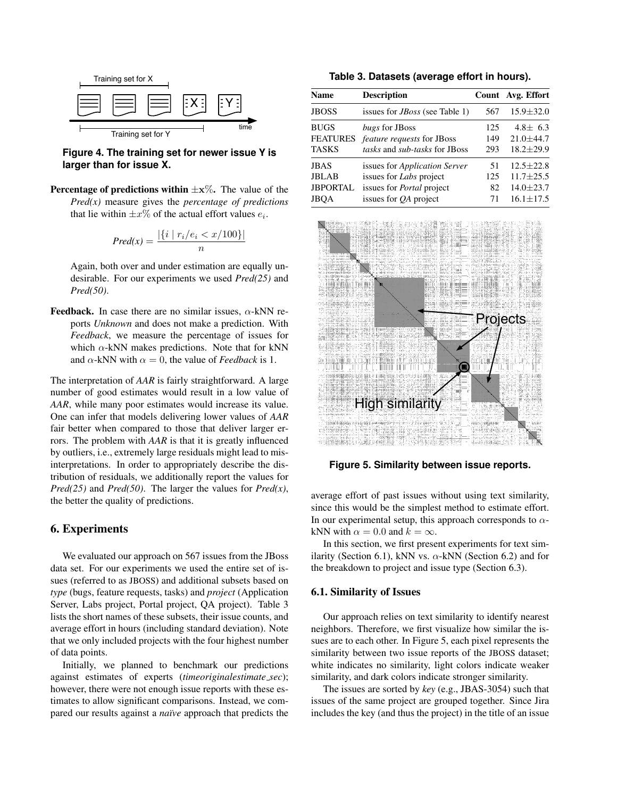

**Figure 4. The training set for newer issue Y is larger than for issue X.**

**Percentage of predictions within**  $\pm x\%$ **.** The value of the *Pred(x) measure gives the percentage of predictions that lie within*  $\pm x\%$  *of the actual effort values*  $e_i$ *.* 

$$
Pred(x) = \frac{|\{i \mid r_i/e_i < x/100\}|}{n}
$$

*Again, both over and under estimation are equally undesirable. For our experiments we used Pred(25) and Pred(50).*

**Feedback.** In case there are no similar issues,  $\alpha$ -kNN re*ports Unknown and does not make a prediction. With Feedback, we measure the percentage of issues for which* α*-kNN makes predictions. Note that for kNN and*  $\alpha$ -kNN with  $\alpha = 0$ , the value of *Feedback* is 1.

*The interpretation of AAR is fairly straightforward. A large number of good estimates would result in a low value of AAR, while many poor estimates would increase its value. One can infer that models delivering lower values of AAR fair better when compared to those that deliver larger errors. The problem with AAR is that it is greatly influenced by outliers, i.e., extremely large residuals might lead to misinterpretations. In order to appropriately describe the distribution of residuals, we additionally report the values for Pred(25)* and *Pred(50).* The larger the values for  $Pred(x)$ *, the better the quality of predictions.*

# 6. Experiments

*We evaluated our approach on 567 issues from the JBoss data set. For our experiments we used the entire set of issues (referred to as JBOSS) and additional subsets based on type (bugs, feature requests, tasks) and project (Application Server, Labs project, Portal project, QA project). Table 3 lists the short names of these subsets, their issue counts, and average effort in hours (including standard deviation). Note that we only included projects with the four highest number of data points.*

*Initially, we planned to benchmark our predictions against estimates of experts (timeoriginalestimate sec); however, there were not enough issue reports with these estimates to allow significant comparisons. Instead, we compared our results against a na¨ıve approach that predicts the*

| Name     | <b>Description</b>                    |     | Count Avg. Effort |
|----------|---------------------------------------|-----|-------------------|
| JBOSS    | issues for <i>JBoss</i> (see Table 1) | 567 | $15.9 \pm 32.0$   |
| BUGS     | bugs for JBoss                        | 125 | 4.8 $\pm$ 6.3     |
| FEATURES | <i>feature requests</i> for JBoss     | 149 | $21.0 \pm 44.7$   |
| TASKS    | tasks and sub-tasks for JBoss         | 293 | $18.2 \pm 29.9$   |
| JBAS     | issues for <i>Application Server</i>  | 51  | $12.5 \pm 22.8$   |
| JBLAB    | issues for <i>Labs</i> project        | 125 | $11.7 \pm 25.5$   |
| JBPORTAL | issues for <i>Portal</i> project      | 82  | $14.0 \pm 23.7$   |
| JBOA     | issues for <i>QA</i> project          | 71  | $16.1 \pm 17.5$   |
|          |                                       |     |                   |



**Figure 5. Similarity between issue reports.**

*average effort of past issues without using text similarity, since this would be the simplest method to estimate effort. In our experimental setup, this approach corresponds to* α*kNN* with  $\alpha = 0.0$  and  $k = \infty$ .

*In this section, we first present experiments for text similarity (Section 6.1), kNN vs.*  $\alpha$ -kNN (Section 6.2) and for *the breakdown to project and issue type (Section 6.3).*

# 6.1. Similarity of Issues

*Our approach relies on text similarity to identify nearest neighbors. Therefore, we first visualize how similar the issues are to each other. In Figure 5, each pixel represents the similarity between two issue reports of the JBOSS dataset; white indicates no similarity, light colors indicate weaker similarity, and dark colors indicate stronger similarity.*

*The issues are sorted by key (e.g., JBAS-3054) such that issues of the same project are grouped together. Since Jira includes the key (and thus the project) in the title of an issue*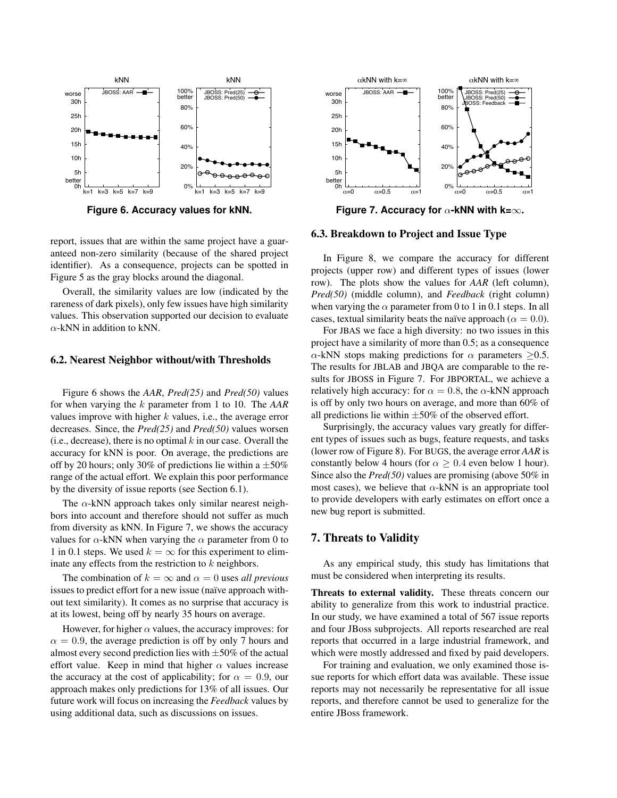

**Figure 6. Accuracy values for kNN.**

*report, issues that are within the same project have a guaranteed non-zero similarity (because of the shared project identifier). As a consequence, projects can be spotted in Figure 5 as the gray blocks around the diagonal.*

*Overall, the similarity values are low (indicated by the rareness of dark pixels), only few issues have high similarity values. This observation supported our decision to evaluate* α*-kNN in addition to kNN.*

### *6.2. Nearest Neighbor without/with Thresholds*

*Figure 6 shows the AAR, Pred(25) and Pred(50) values for when varying the k parameter from 1 to 10. The AAR values improve with higher k values, i.e., the average error decreases. Since, the Pred(25) and Pred(50) values worsen (i.e., decrease), there is no optimal k in our case. Overall the accuracy for kNN is poor. On average, the predictions are off by 20 hours; only 30% of predictions lie within a ±50% range of the actual effort. We explain this poor performance by the diversity of issue reports (see Section 6.1).*

*The* α*-kNN approach takes only similar nearest neighbors into account and therefore should not suffer as much from diversity as kNN. In Figure 7, we shows the accuracy values for*  $\alpha$ -kNN when varying the  $\alpha$  parameter from 0 to 1 in 0.1 steps. We used  $k = \infty$  for this experiment to elim*inate any effects from the restriction to k neighbors.*

*The combination of*  $k = \infty$  *and*  $\alpha = 0$  *uses all previous issues to predict effort for a new issue (na¨ıve approach without text similarity). It comes as no surprise that accuracy is at its lowest, being off by nearly 35 hours on average.*

*However, for higher*  $\alpha$  *values, the accuracy improves: for*  $\alpha = 0.9$ , the average prediction is off by only 7 hours and *almost every second prediction lies with ±50% of the actual effort value. Keep in mind that higher* α *values increase the accuracy at the cost of applicability; for*  $\alpha = 0.9$ *, our approach makes only predictions for 13% of all issues. Our future work will focus on increasing the Feedback values by using additional data, such as discussions on issues.*



**Figure 7. Accuracy for** <sup>α</sup>**-kNN with k=**∞**.**

#### *6.3. Breakdown to Project and Issue Type*

*In Figure 8, we compare the accuracy for different projects (upper row) and different types of issues (lower row). The plots show the values for AAR (left column), Pred(50) (middle column), and Feedback (right column)* when varying the  $\alpha$  parameter from 0 to 1 in 0.1 steps. In all *cases, textual similarity beats the naïve approach (* $\alpha = 0.0$ *).* 

*For JBAS we face a high diversity: no two issues in this project have a similarity of more than 0.5; as a consequence*  $\alpha$ -kNN stops making predictions for  $\alpha$  parameters  $\geq 0.5$ . *The results for JBLAB and JBQA are comparable to the results for JBOSS in Figure 7. For JBPORTAL, we achieve a relatively high accuracy: for*  $\alpha = 0.8$ *, the*  $\alpha$ -kNN approach *is off by only two hours on average, and more than 60% of all predictions lie within ±50% of the observed effort.*

*Surprisingly, the accuracy values vary greatly for different types of issues such as bugs, feature requests, and tasks (lower row of Figure 8). For BUGS, the average error AAR is constantly below 4 hours (for*  $\alpha \geq 0.4$  *even below 1 hour). Since also the Pred(50) values are promising (above 50% in most cases), we believe that* α*-kNN is an appropriate tool to provide developers with early estimates on effort once a new bug report is submitted.*

# *7. Threats to Validity*

*As any empirical study, this study has limitations that must be considered when interpreting its results.*

*Threats to external validity. These threats concern our ability to generalize from this work to industrial practice. In our study, we have examined a total of 567 issue reports and four JBoss subprojects. All reports researched are real reports that occurred in a large industrial framework, and which were mostly addressed and fixed by paid developers.*

*For training and evaluation, we only examined those issue reports for which effort data was available. These issue reports may not necessarily be representative for all issue reports, and therefore cannot be used to generalize for the entire JBoss framework.*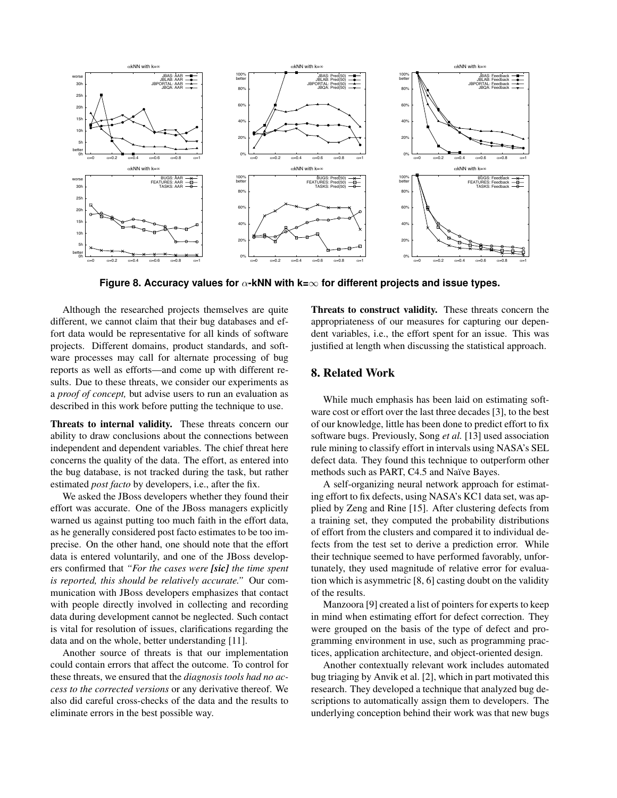

**Figure 8. Accuracy values for** α**-kNN with k=**∞ **for different projects and issue types.**

*Although the researched projects themselves are quite different, we cannot claim that their bug databases and effort data would be representative for all kinds of software projects. Different domains, product standards, and software processes may call for alternate processing of bug reports as well as efforts—and come up with different results. Due to these threats, we consider our experiments as a proof of concept, but advise users to run an evaluation as described in this work before putting the technique to use.*

Threats to internal validity. *These threats concern our ability to draw conclusions about the connections between independent and dependent variables. The chief threat here concerns the quality of the data. The effort, as entered into the bug database, is not tracked during the task, but rather estimated post facto by developers, i.e., after the fix.*

*We asked the JBoss developers whether they found their effort was accurate. One of the JBoss managers explicitly warned us against putting too much faith in the effort data, as he generally considered post facto estimates to be too imprecise. On the other hand, one should note that the effort data is entered voluntarily, and one of the JBoss developers confirmed that "For the cases were [sic] the time spent is reported, this should be relatively accurate." Our communication with JBoss developers emphasizes that contact with people directly involved in collecting and recording data during development cannot be neglected. Such contact is vital for resolution of issues, clarifications regarding the data and on the whole, better understanding [11].*

*Another source of threats is that our implementation could contain errors that affect the outcome. To control for these threats, we ensured that the diagnosis tools had no access to the corrected versions or any derivative thereof. We also did careful cross-checks of the data and the results to eliminate errors in the best possible way.*

Threats to construct validity. *These threats concern the appropriateness of our measures for capturing our dependent variables, i.e., the effort spent for an issue. This was justified at length when discussing the statistical approach.*

# 8. Related Work

*While much emphasis has been laid on estimating software cost or effort over the last three decades [3], to the best of our knowledge, little has been done to predict effort to fix software bugs. Previously, Song et al. [13] used association rule mining to classify effort in intervals using NASA's SEL defect data. They found this technique to outperform other methods such as PART, C4.5 and Na¨ıve Bayes.*

*A self-organizing neural network approach for estimating effort to fix defects, using NASA's KC1 data set, was applied by Zeng and Rine [15]. After clustering defects from a training set, they computed the probability distributions of effort from the clusters and compared it to individual defects from the test set to derive a prediction error. While their technique seemed to have performed favorably, unfortunately, they used magnitude of relative error for evaluation which is asymmetric [8, 6] casting doubt on the validity of the results.*

*Manzoora [9] created a list of pointers for experts to keep in mind when estimating effort for defect correction. They were grouped on the basis of the type of defect and programming environment in use, such as programming practices, application architecture, and object-oriented design.*

*Another contextually relevant work includes automated bug triaging by Anvik et al. [2], which in part motivated this research. They developed a technique that analyzed bug descriptions to automatically assign them to developers. The underlying conception behind their work was that new bugs*